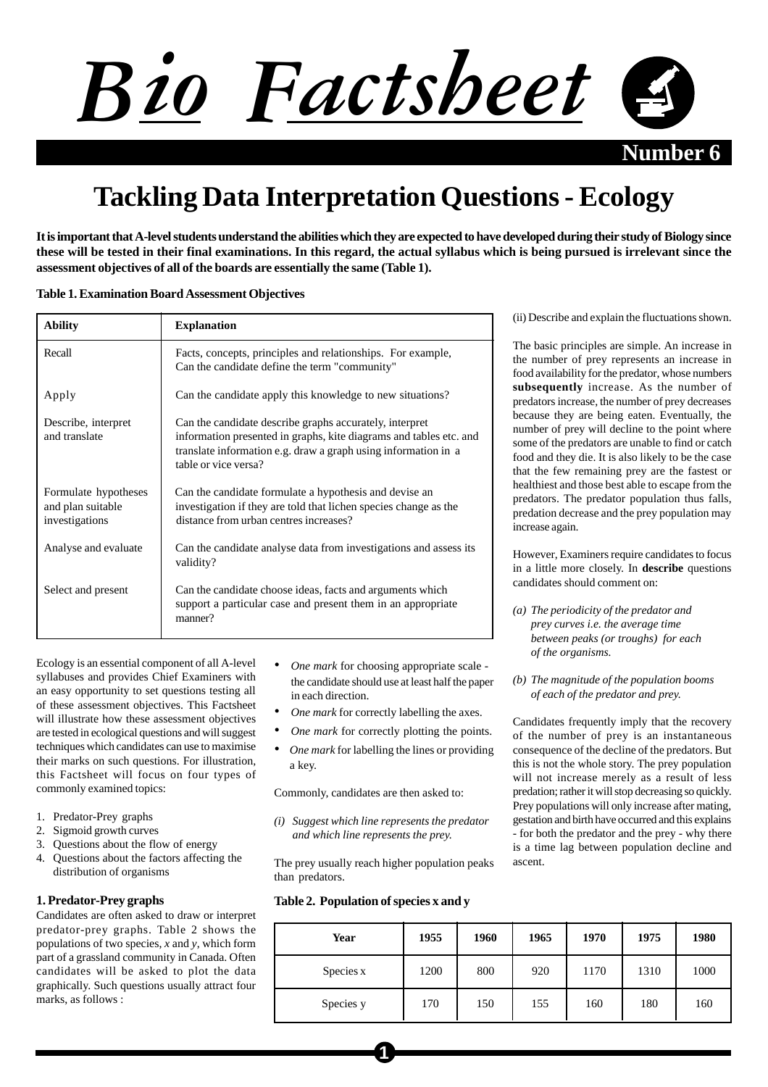

**Number** 6

# **Tackling Data Interpretation Questions - Ecology**

**It is important that A-level students understand the abilities which they are expected to have developed during their study of Biology since these will be tested in their final examinations. In this regard, the actual syllabus which is being pursued is irrelevant since the assessment objectives of all of the boards are essentially the same (Table 1).**

## **Table 1. Examination Board Assessment Objectives**

| <b>Ability</b>                                              | <b>Explanation</b>                                                                                                                                                                                                      |  |
|-------------------------------------------------------------|-------------------------------------------------------------------------------------------------------------------------------------------------------------------------------------------------------------------------|--|
| Recall                                                      | Facts, concepts, principles and relationships. For example,<br>Can the candidate define the term "community"                                                                                                            |  |
| Apply                                                       | Can the candidate apply this knowledge to new situations?                                                                                                                                                               |  |
| Describe, interpret<br>and translate                        | Can the candidate describe graphs accurately, interpret<br>information presented in graphs, kite diagrams and tables etc. and<br>translate information e.g. draw a graph using information in a<br>table or vice versa? |  |
| Formulate hypotheses<br>and plan suitable<br>investigations | Can the candidate formulate a hypothesis and devise an<br>investigation if they are told that lichen species change as the<br>distance from urban centres increases?                                                    |  |
| Analyse and evaluate                                        | Can the candidate analyse data from investigations and assess its<br>validity?                                                                                                                                          |  |
| Select and present                                          | Can the candidate choose ideas, facts and arguments which<br>support a particular case and present them in an appropriate<br>manner?                                                                                    |  |

Ecology is an essential component of all A-level syllabuses and provides Chief Examiners with an easy opportunity to set questions testing all of these assessment objectives. This Factsheet will illustrate how these assessment objectives are tested in ecological questions and will suggest techniques which candidates can use to maximise their marks on such questions. For illustration, this Factsheet will focus on four types of commonly examined topics:

- 1. Predator-Prey graphs
- 2. Sigmoid growth curves
- 3. Questions about the flow of energy
- 4. Questions about the factors affecting the distribution of organisms

#### **1. Predator-Prey graphs**

Candidates are often asked to draw or interpret predator-prey graphs. Table 2 shows the populations of two species, *x* and *y*, which form part of a grassland community in Canada. Often candidates will be asked to plot the data graphically. Such questions usually attract four marks, as follows :

- *• One mark* for choosing appropriate scale the candidate should use at least half the paper in each direction.
- *• One mark* for correctly labelling the axes.
- *One mark* for correctly plotting the points.
- *• One mark* for labelling the lines or providing a key.

Commonly, candidates are then asked to:

*(i) Suggest which line represents the predator and which line represents the prey.*

The prey usually reach higher population peaks than predators.

**1**

# **Table 2. Population of species x and y**

| Year      | 1955 | 1960 | 1965 | 1970 | 1975 | 1980 |
|-----------|------|------|------|------|------|------|
| Species x | 1200 | 800  | 920  | 1170 | 1310 | 1000 |
| Species y | 170  | 150  | 155  | 160  | 180  | 160  |

(ii) Describe and explain the fluctuations shown.

The basic principles are simple. An increase in the number of prey represents an increase in food availability for the predator, whose numbers **subsequently** increase. As the number of predators increase, the number of prey decreases because they are being eaten. Eventually, the number of prey will decline to the point where some of the predators are unable to find or catch food and they die. It is also likely to be the case that the few remaining prey are the fastest or healthiest and those best able to escape from the predators. The predator population thus falls, predation decrease and the prey population may increase again.

However, Examiners require candidates to focus in a little more closely. In **describe** questions candidates should comment on:

- *(a) The periodicity of the predator and prey curves i.e. the average time between peaks (or troughs) for each of the organisms.*
- *(b) The magnitude of the population booms of each of the predator and prey.*

Candidates frequently imply that the recovery of the number of prey is an instantaneous consequence of the decline of the predators. But this is not the whole story. The prey population will not increase merely as a result of less predation; rather it will stop decreasing so quickly. Prey populations will only increase after mating, gestation and birth have occurred and this explains - for both the predator and the prey - why there is a time lag between population decline and ascent.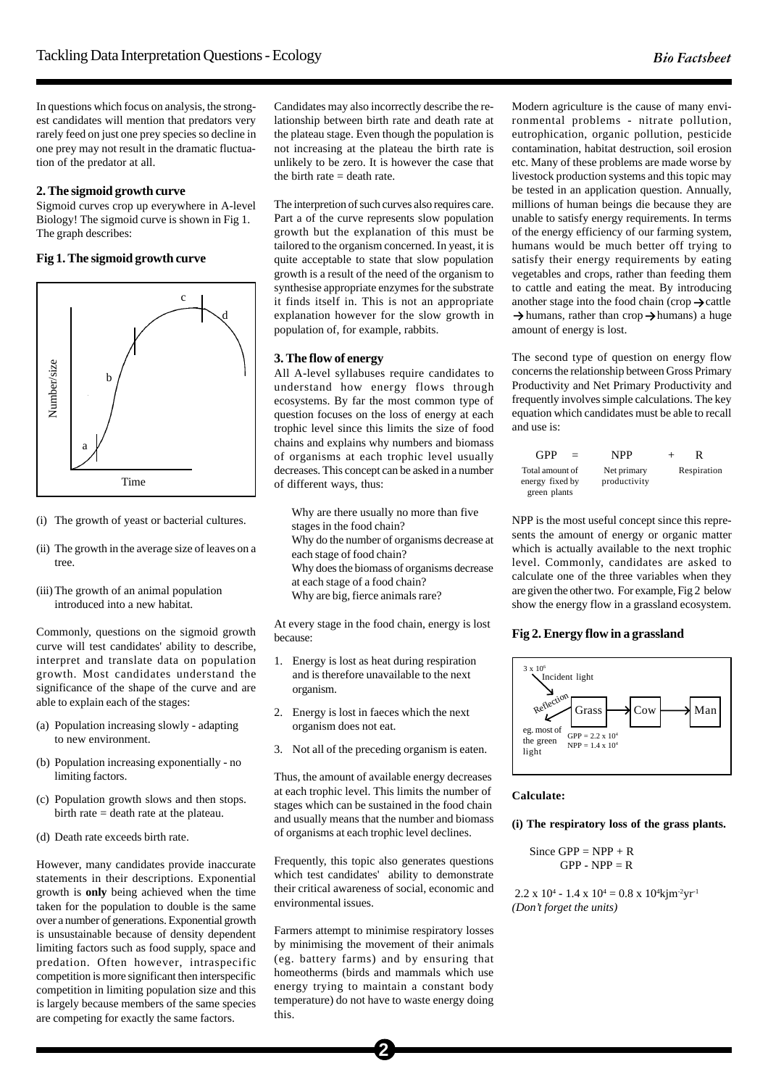In questions which focus on analysis, the strongest candidates will mention that predators very rarely feed on just one prey species so decline in one prey may not result in the dramatic fluctuation of the predator at all.

#### **2. The sigmoid growth curve**

Sigmoid curves crop up everywhere in A-level Biology! The sigmoid curve is shown in Fig 1. The graph describes:

## **Fig 1. The sigmoid growth curve**



- (i) The growth of yeast or bacterial cultures.
- (ii) The growth in the average size of leaves on a tree.
- (iii) The growth of an animal population introduced into a new habitat.

Commonly, questions on the sigmoid growth curve will test candidates' ability to describe, interpret and translate data on population growth. Most candidates understand the significance of the shape of the curve and are able to explain each of the stages:

- (a) Population increasing slowly adapting to new environment.
- (b) Population increasing exponentially no limiting factors.
- (c) Population growth slows and then stops. birth rate  $=$  death rate at the plateau.
- (d) Death rate exceeds birth rate.

However, many candidates provide inaccurate statements in their descriptions. Exponential growth is **only** being achieved when the time taken for the population to double is the same over a number of generations. Exponential growth is unsustainable because of density dependent limiting factors such as food supply, space and predation. Often however, intraspecific competition is more significant then interspecific competition in limiting population size and this is largely because members of the same species are competing for exactly the same factors.

Candidates may also incorrectly describe the relationship between birth rate and death rate at the plateau stage. Even though the population is not increasing at the plateau the birth rate is unlikely to be zero. It is however the case that the birth rate  $=$  death rate.

The interpretion of such curves also requires care. Part a of the curve represents slow population growth but the explanation of this must be tailored to the organism concerned. In yeast, it is quite acceptable to state that slow population growth is a result of the need of the organism to synthesise appropriate enzymes for the substrate it finds itself in. This is not an appropriate explanation however for the slow growth in population of, for example, rabbits.

#### **3. The flow of energy**

All A-level syllabuses require candidates to understand how energy flows through ecosystems. By far the most common type of question focuses on the loss of energy at each trophic level since this limits the size of food chains and explains why numbers and biomass of organisms at each trophic level usually decreases. This concept can be asked in a number of different ways, thus:

Why are there usually no more than five stages in the food chain?

Why do the number of organisms decrease at each stage of food chain?

Why does the biomass of organisms decrease

at each stage of a food chain?

Why are big, fierce animals rare?

At every stage in the food chain, energy is lost because:

- 1. Energy is lost as heat during respiration and is therefore unavailable to the next organism.
- 2. Energy is lost in faeces which the next organism does not eat.
- 3. Not all of the preceding organism is eaten.

Thus, the amount of available energy decreases at each trophic level. This limits the number of stages which can be sustained in the food chain and usually means that the number and biomass of organisms at each trophic level declines.

Frequently, this topic also generates questions which test candidates' ability to demonstrate their critical awareness of social, economic and environmental issues.

Farmers attempt to minimise respiratory losses by minimising the movement of their animals (eg. battery farms) and by ensuring that homeotherms (birds and mammals which use energy trying to maintain a constant body temperature) do not have to waste energy doing this.

Modern agriculture is the cause of many environmental problems - nitrate pollution, eutrophication, organic pollution, pesticide contamination, habitat destruction, soil erosion etc. Many of these problems are made worse by livestock production systems and this topic may be tested in an application question. Annually, millions of human beings die because they are unable to satisfy energy requirements. In terms of the energy efficiency of our farming system, humans would be much better off trying to satisfy their energy requirements by eating vegetables and crops, rather than feeding them to cattle and eating the meat. By introducing another stage into the food chain (crop  $\rightarrow$  cattle  $\rightarrow$  humans, rather than crop  $\rightarrow$  humans) a huge amount of energy is lost.

The second type of question on energy flow concerns the relationship between Gross Primary Productivity and Net Primary Productivity and frequently involves simple calculations. The key equation which candidates must be able to recall and use is:

| GPP                                                | NPP<br>$=$                  | $^+$        |
|----------------------------------------------------|-----------------------------|-------------|
| Total amount of<br>energy fixed by<br>green plants | Net primary<br>productivity | Respiration |

NPP is the most useful concept since this represents the amount of energy or organic matter which is actually available to the next trophic level. Commonly, candidates are asked to calculate one of the three variables when they are given the other two. For example, Fig 2 below show the energy flow in a grassland ecosystem.

## **Fig 2. Energy flow in a grassland**



#### **Calculate:**

**(i) The respiratory loss of the grass plants.**

Since  $GPP = NPP + R$  $GPP - NPP = R$ 

 $2.2 \times 10^4 - 1.4 \times 10^4 = 0.8 \times 10^4 \text{ km}^2 \text{yr}^1$ *(Don't forget the units)*